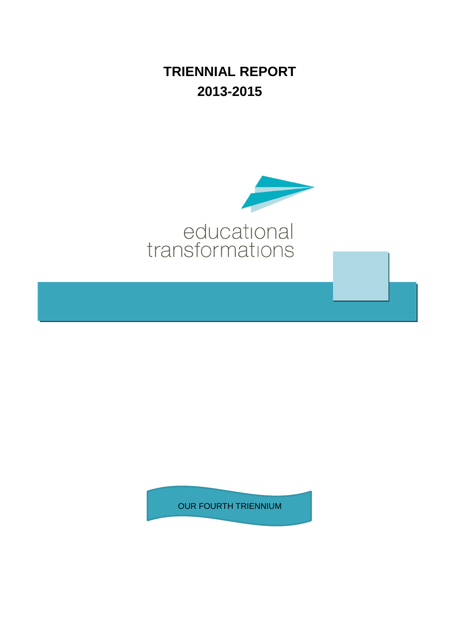**TRIENNIAL REPORT 2013-2015**



OUR FOURTH TRIENNIUM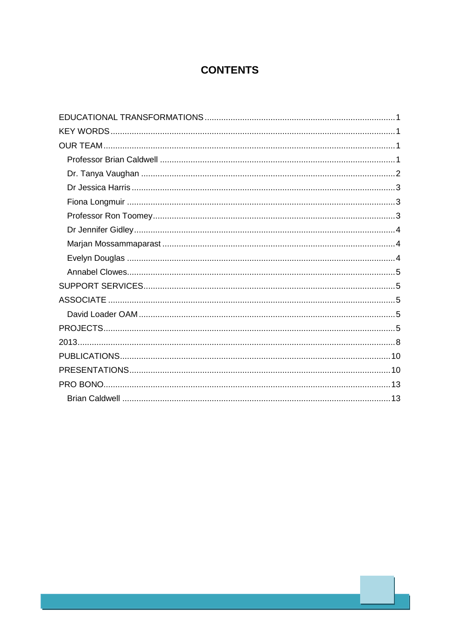# **CONTENTS**

| EDUCATIONAL TRANSFORMATIONS ……………………………………………………………………………………………1 |
|------------------------------------------------------------------|
|                                                                  |
|                                                                  |
|                                                                  |
|                                                                  |
|                                                                  |
|                                                                  |
|                                                                  |
|                                                                  |
|                                                                  |
|                                                                  |
|                                                                  |
|                                                                  |
|                                                                  |
|                                                                  |
|                                                                  |
|                                                                  |
|                                                                  |
|                                                                  |
|                                                                  |
|                                                                  |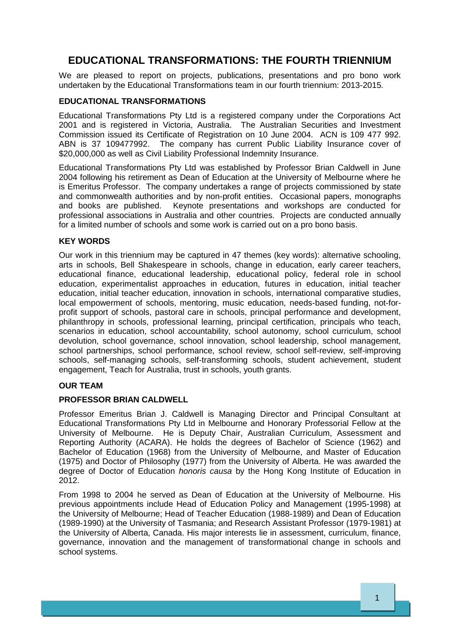# **EDUCATIONAL TRANSFORMATIONS: THE FOURTH TRIENNIUM**

We are pleased to report on projects, publications, presentations and pro bono work undertaken by the Educational Transformations team in our fourth triennium: 2013-2015.

# <span id="page-2-0"></span>**EDUCATIONAL TRANSFORMATIONS**

Educational Transformations Pty Ltd is a registered company under the Corporations Act 2001 and is registered in Victoria, Australia. The Australian Securities and Investment Commission issued its Certificate of Registration on 10 June 2004. ACN is 109 477 992. ABN is 37 109477992. The company has current Public Liability Insurance cover of \$20,000,000 as well as Civil Liability Professional Indemnity Insurance.

Educational Transformations Pty Ltd was established by Professor Brian Caldwell in June 2004 following his retirement as Dean of Education at the University of Melbourne where he is Emeritus Professor. The company undertakes a range of projects commissioned by state and commonwealth authorities and by non-profit entities. Occasional papers, monographs and books are published. Keynote presentations and workshops are conducted for professional associations in Australia and other countries. Projects are conducted annually for a limited number of schools and some work is carried out on a pro bono basis.

# <span id="page-2-1"></span>**KEY WORDS**

Our work in this triennium may be captured in 47 themes (key words): alternative schooling, arts in schools, Bell Shakespeare in schools, change in education, early career teachers, educational finance, educational leadership, educational policy, federal role in school education, experimentalist approaches in education, futures in education, initial teacher education, initial teacher education, innovation in schools, international comparative studies, local empowerment of schools, mentoring, music education, needs-based funding, not-forprofit support of schools, pastoral care in schools, principal performance and development, philanthropy in schools, professional learning, principal certification, principals who teach, scenarios in education, school accountability, school autonomy, school curriculum, school devolution, school governance, school innovation, school leadership, school management, school partnerships, school performance, school review, school self-review, self-improving schools, self-managing schools, self-transforming schools, student achievement, student engagement, Teach for Australia, trust in schools, youth grants.

# <span id="page-2-2"></span>**OUR TEAM**

# <span id="page-2-3"></span>**PROFESSOR BRIAN CALDWELL**

Professor Emeritus Brian J. Caldwell is Managing Director and Principal Consultant at Educational Transformations Pty Ltd in Melbourne and Honorary Professorial Fellow at the University of Melbourne. He is Deputy Chair, Australian Curriculum, Assessment and Reporting Authority (ACARA). He holds the degrees of Bachelor of Science (1962) and Bachelor of Education (1968) from the University of Melbourne, and Master of Education (1975) and Doctor of Philosophy (1977) from the University of Alberta. He was awarded the degree of Doctor of Education *honoris causa* by the Hong Kong Institute of Education in 2012.

From 1998 to 2004 he served as Dean of Education at the University of Melbourne. His previous appointments include Head of Education Policy and Management (1995-1998) at the University of Melbourne; Head of Teacher Education (1988-1989) and Dean of Education (1989-1990) at the University of Tasmania; and Research Assistant Professor (1979-1981) at the University of Alberta, Canada. His major interests lie in assessment, curriculum, finance, governance, innovation and the management of transformational change in schools and school systems.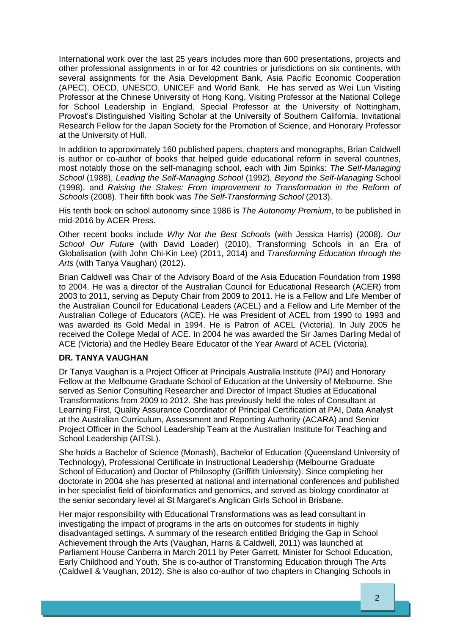International work over the last 25 years includes more than 600 presentations, projects and other professional assignments in or for 42 countries or jurisdictions on six continents, with several assignments for the Asia Development Bank, Asia Pacific Economic Cooperation (APEC), OECD, UNESCO, UNICEF and World Bank. He has served as Wei Lun Visiting Professor at the Chinese University of Hong Kong, Visiting Professor at the National College for School Leadership in England, Special Professor at the University of Nottingham, Provost's Distinguished Visiting Scholar at the University of Southern California, Invitational Research Fellow for the Japan Society for the Promotion of Science, and Honorary Professor at the University of Hull.

In addition to approximately 160 published papers, chapters and monographs, Brian Caldwell is author or co-author of books that helped guide educational reform in several countries, most notably those on the self-managing school, each with Jim Spinks: *The Self-Managing School* (1988), *Leading the Self-Managing School* (1992), *Beyond the Self-Managing* School (1998), and *Raising the Stakes: From Improvement to Transformation in the Reform of Schools* (2008). Their fifth book was *The Self-Transforming School* (2013).

His tenth book on school autonomy since 1986 is *The Autonomy Premium*, to be published in mid-2016 by ACER Press.

Other recent books include *Why Not the Best Schools* (with Jessica Harris) (2008), *Our School Our Future* (with David Loader) (2010), Transforming Schools in an Era of Globalisation (with John Chi-Kin Lee) (2011, 2014) and *Transforming Education through the Arts* (with Tanya Vaughan) (2012).

Brian Caldwell was Chair of the Advisory Board of the Asia Education Foundation from 1998 to 2004. He was a director of the Australian Council for Educational Research (ACER) from 2003 to 2011, serving as Deputy Chair from 2009 to 2011. He is a Fellow and Life Member of the Australian Council for Educational Leaders (ACEL) and a Fellow and Life Member of the Australian College of Educators (ACE). He was President of ACEL from 1990 to 1993 and was awarded its Gold Medal in 1994. He is Patron of ACEL (Victoria). In July 2005 he received the College Medal of ACE. In 2004 he was awarded the Sir James Darling Medal of ACE (Victoria) and the Hedley Beare Educator of the Year Award of ACEL (Victoria).

#### <span id="page-3-0"></span>**DR. TANYA VAUGHAN**

Dr Tanya Vaughan is a Project Officer at Principals Australia Institute (PAI) and Honorary Fellow at the Melbourne Graduate School of Education at the University of Melbourne. She served as Senior Consulting Researcher and Director of Impact Studies at Educational Transformations from 2009 to 2012. She has previously held the roles of Consultant at Learning First, Quality Assurance Coordinator of Principal Certification at PAI, Data Analyst at the Australian Curriculum, Assessment and Reporting Authority (ACARA) and Senior Project Officer in the School Leadership Team at the Australian Institute for Teaching and School Leadership (AITSL).

She holds a Bachelor of Science (Monash), Bachelor of Education (Queensland University of Technology), Professional Certificate in Instructional Leadership (Melbourne Graduate School of Education) and Doctor of Philosophy (Griffith University). Since completing her doctorate in 2004 she has presented at national and international conferences and published in her specialist field of bioinformatics and genomics, and served as biology coordinator at the senior secondary level at St Margaret's Anglican Girls School in Brisbane.

Her major responsibility with Educational Transformations was as lead consultant in investigating the impact of programs in the arts on outcomes for students in highly disadvantaged settings. A summary of the research entitled Bridging the Gap in School Achievement through the Arts (Vaughan, Harris & Caldwell, 2011) was launched at Parliament House Canberra in March 2011 by Peter Garrett, Minister for School Education, Early Childhood and Youth. She is co-author of Transforming Education through The Arts (Caldwell & Vaughan, 2012). She is also co-author of two chapters in Changing Schools in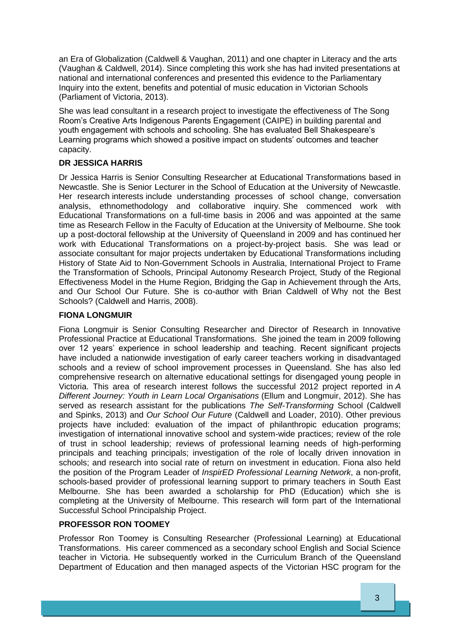an Era of Globalization (Caldwell & Vaughan, 2011) and one chapter in Literacy and the arts (Vaughan & Caldwell, 2014). Since completing this work she has had invited presentations at national and international conferences and presented this evidence to the Parliamentary Inquiry into the extent, benefits and potential of music education in Victorian Schools (Parliament of Victoria, 2013).

She was lead consultant in a research project to investigate the effectiveness of The Song Room's Creative Arts Indigenous Parents Engagement (CAIPE) in building parental and youth engagement with schools and schooling. She has evaluated Bell Shakespeare's Learning programs which showed a positive impact on students' outcomes and teacher capacity.

# <span id="page-4-0"></span>**DR JESSICA HARRIS**

Dr Jessica Harris is Senior Consulting Researcher at Educational Transformations based in Newcastle. She is Senior Lecturer in the School of Education at the University of Newcastle. Her research interests include understanding processes of school change, conversation analysis, ethnomethodology and collaborative inquiry. She commenced work with Educational Transformations on a full-time basis in 2006 and was appointed at the same time as Research Fellow in the Faculty of Education at the University of Melbourne. She took up a post-doctoral fellowship at the University of Queensland in 2009 and has continued her work with Educational Transformations on a project-by-project basis. She was lead or associate consultant for major projects undertaken by Educational Transformations including History of State Aid to Non-Government Schools in Australia, International Project to Frame the Transformation of Schools, Principal Autonomy Research Project, Study of the Regional Effectiveness Model in the Hume Region, Bridging the Gap in Achievement through the Arts, and Our School Our Future. She is co-author with Brian Caldwell of Why not the Best Schools? (Caldwell and Harris, 2008).

# <span id="page-4-1"></span>**FIONA LONGMUIR**

Fiona Longmuir is Senior Consulting Researcher and Director of Research in Innovative Professional Practice at Educational Transformations. She joined the team in 2009 following over 12 years' experience in school leadership and teaching. Recent significant projects have included a nationwide investigation of early career teachers working in disadvantaged schools and a review of school improvement processes in Queensland. She has also led comprehensive research on alternative educational settings for disengaged young people in Victoria. This area of research interest follows the successful 2012 project reported in *A Different Journey: Youth in Learn Local Organisations* (Ellum and Longmuir, 2012). She has served as research assistant for the publications *The Self-Transforming* School (Caldwell and Spinks, 2013) and *Our School Our Future* (Caldwell and Loader, 2010). Other previous projects have included: evaluation of the impact of philanthropic education programs; investigation of international innovative school and system-wide practices; review of the role of trust in school leadership; reviews of professional learning needs of high-performing principals and teaching principals; investigation of the role of locally driven innovation in schools; and research into social rate of return on investment in education. Fiona also held the position of the Program Leader of *InspirED Professional Learning Network*, a non-profit, schools-based provider of professional learning support to primary teachers in South East Melbourne. She has been awarded a scholarship for PhD (Education) which she is completing at the University of Melbourne. This research will form part of the International Successful School Principalship Project.

# <span id="page-4-2"></span>**PROFESSOR RON TOOMEY**

Professor Ron Toomey is Consulting Researcher (Professional Learning) at Educational Transformations. His career commenced as a secondary school English and Social Science teacher in Victoria. He subsequently worked in the Curriculum Branch of the Queensland Department of Education and then managed aspects of the Victorian HSC program for the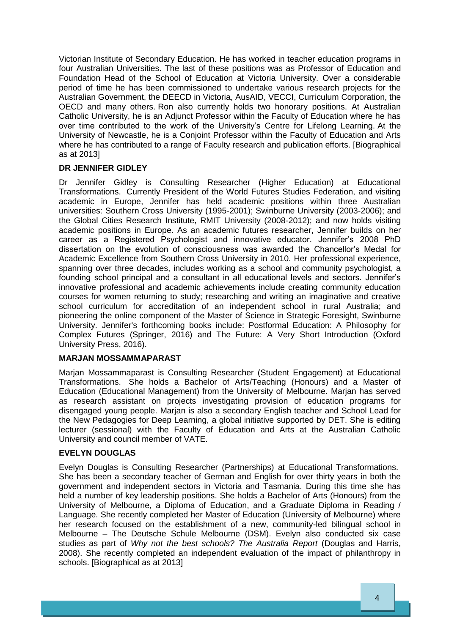Victorian Institute of Secondary Education. He has worked in teacher education programs in four Australian Universities. The last of these positions was as Professor of Education and Foundation Head of the School of Education at Victoria University. Over a considerable period of time he has been commissioned to undertake various research projects for the Australian Government, the DEECD in Victoria, AusAID, VECCI, Curriculum Corporation, the OECD and many others. Ron also currently holds two honorary positions. At Australian Catholic University, he is an Adjunct Professor within the Faculty of Education where he has over time contributed to the work of the University's Centre for Lifelong Learning. At the University of Newcastle, he is a Conjoint Professor within the Faculty of Education and Arts where he has contributed to a range of Faculty research and publication efforts. [Biographical as at 2013]

# <span id="page-5-0"></span>**DR JENNIFER GIDLEY**

Dr Jennifer Gidley is Consulting Researcher (Higher Education) at Educational Transformations. Currently President of the World Futures Studies Federation, and visiting academic in Europe, Jennifer has held academic positions within three Australian universities: Southern Cross University (1995-2001); Swinburne University (2003-2006); and the Global Cities Research Institute, RMIT University (2008-2012); and now holds visiting academic positions in Europe. As an academic futures researcher, Jennifer builds on her career as a Registered Psychologist and innovative educator. Jennifer's 2008 PhD dissertation on the evolution of consciousness was awarded the Chancellor's Medal for Academic Excellence from Southern Cross University in 2010. Her professional experience, spanning over three decades, includes working as a school and community psychologist, a founding school principal and a consultant in all educational levels and sectors. Jennifer's innovative professional and academic achievements include creating community education courses for women returning to study; researching and writing an imaginative and creative school curriculum for accreditation of an independent school in rural Australia; and pioneering the online component of the Master of Science in Strategic Foresight, Swinburne University. Jennifer's forthcoming books include: Postformal Education: A Philosophy for Complex Futures (Springer, 2016) and The Future: A Very Short Introduction (Oxford University Press, 2016).

# <span id="page-5-1"></span>**MARJAN MOSSAMMAPARAST**

Marjan Mossammaparast is Consulting Researcher (Student Engagement) at Educational Transformations. She holds a Bachelor of Arts/Teaching (Honours) and a Master of Education (Educational Management) from the University of Melbourne. Marjan has served as research assistant on projects investigating provision of education programs for disengaged young people. Marjan is also a secondary English teacher and School Lead for the New Pedagogies for Deep Learning, a global initiative supported by DET. She is editing lecturer (sessional) with the Faculty of Education and Arts at the Australian Catholic University and council member of VATE.

# <span id="page-5-2"></span>**EVELYN DOUGLAS**

Evelyn Douglas is Consulting Researcher (Partnerships) at Educational Transformations. She has been a secondary teacher of German and English for over thirty years in both the government and independent sectors in Victoria and Tasmania. During this time she has held a number of key leadership positions. She holds a Bachelor of Arts (Honours) from the University of Melbourne, a Diploma of Education, and a Graduate Diploma in Reading / Language. She recently completed her Master of Education (University of Melbourne) where her research focused on the establishment of a new, community-led bilingual school in Melbourne – The Deutsche Schule Melbourne (DSM). Evelyn also conducted six case studies as part of *Why not the best schools? The Australia Report* (Douglas and Harris, 2008). She recently completed an independent evaluation of the impact of philanthropy in schools. [Biographical as at 2013]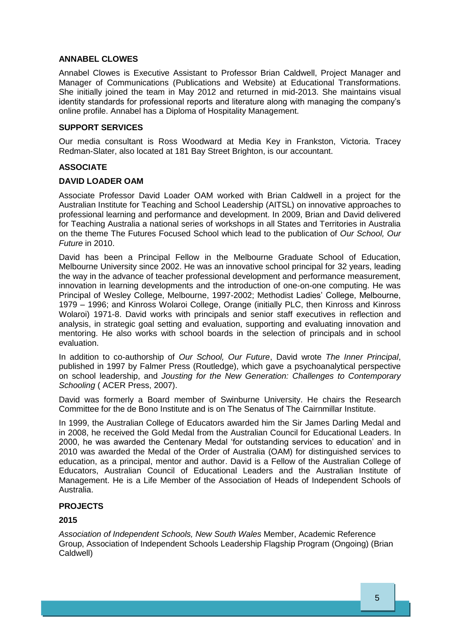### <span id="page-6-0"></span>**ANNABEL CLOWES**

Annabel Clowes is Executive Assistant to Professor Brian Caldwell, Project Manager and Manager of Communications (Publications and Website) at Educational Transformations. She initially joined the team in May 2012 and returned in mid-2013. She maintains visual identity standards for professional reports and literature along with managing the company's online profile. Annabel has a Diploma of Hospitality Management.

# <span id="page-6-1"></span>**SUPPORT SERVICES**

Our media consultant is Ross Woodward at Media Key in Frankston, Victoria. Tracey Redman-Slater, also located at 181 Bay Street Brighton, is our accountant.

### <span id="page-6-2"></span>**ASSOCIATE**

#### <span id="page-6-3"></span>**DAVID LOADER OAM**

Associate Professor David Loader OAM worked with Brian Caldwell in a project for the Australian Institute for Teaching and School Leadership (AITSL) on innovative approaches to professional learning and performance and development. In 2009, Brian and David delivered for Teaching Australia a national series of workshops in all States and Territories in Australia on the theme The Futures Focused School which lead to the publication of *Our School, Our Future* in 2010.

David has been a Principal Fellow in the Melbourne Graduate School of Education, Melbourne University since 2002. He was an innovative school principal for 32 years, leading the way in the advance of teacher professional development and performance measurement, innovation in learning developments and the introduction of one-on-one computing. He was Principal of Wesley College, Melbourne, 1997-2002; Methodist Ladies' College, Melbourne, 1979 – 1996; and Kinross Wolaroi College, Orange (initially PLC, then Kinross and Kinross Wolaroi) 1971-8. David works with principals and senior staff executives in reflection and analysis, in strategic goal setting and evaluation, supporting and evaluating innovation and mentoring. He also works with school boards in the selection of principals and in school evaluation.

In addition to co-authorship of *Our School, Our Future*, David wrote *The Inner Principal*, published in 1997 by Falmer Press (Routledge), which gave a psychoanalytical perspective on school leadership, and *Jousting for the New Generation: Challenges to Contemporary Schooling* ( ACER Press, 2007).

David was formerly a Board member of Swinburne University. He chairs the Research Committee for the de Bono Institute and is on The Senatus of The Cairnmillar Institute.

In 1999, the Australian College of Educators awarded him the Sir James Darling Medal and in 2008, he received the Gold Medal from the Australian Council for Educational Leaders. In 2000, he was awarded the Centenary Medal 'for outstanding services to education' and in 2010 was awarded the Medal of the Order of Australia (OAM) for distinguished services to education, as a principal, mentor and author. David is a Fellow of the Australian College of Educators, Australian Council of Educational Leaders and the Australian Institute of Management. He is a Life Member of the Association of Heads of Independent Schools of Australia.

#### <span id="page-6-4"></span>**PROJECTS**

#### **2015**

*Association of Independent Schools, New South Wales* Member, Academic Reference Group, Association of Independent Schools Leadership Flagship Program (Ongoing) (Brian Caldwell)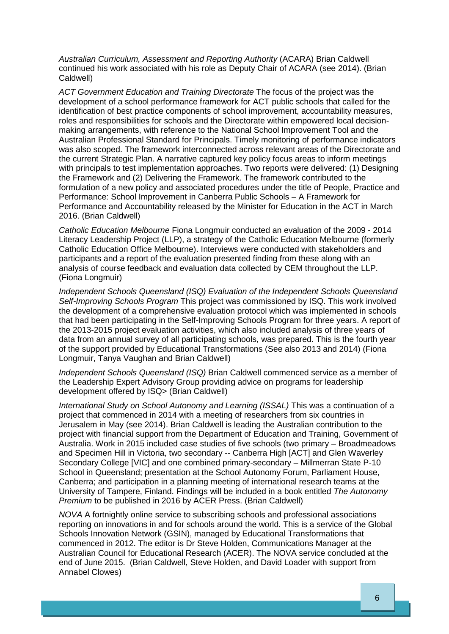*Australian Curriculum, Assessment and Reporting Authority* (ACARA) Brian Caldwell continued his work associated with his role as Deputy Chair of ACARA (see 2014). (Brian Caldwell)

*ACT Government Education and Training Directorate* The focus of the project was the development of a school performance framework for ACT public schools that called for the identification of best practice components of school improvement, accountability measures, roles and responsibilities for schools and the Directorate within empowered local decisionmaking arrangements, with reference to the National School Improvement Tool and the Australian Professional Standard for Principals. Timely monitoring of performance indicators was also scoped. The framework interconnected across relevant areas of the Directorate and the current Strategic Plan. A narrative captured key policy focus areas to inform meetings with principals to test implementation approaches. Two reports were delivered: (1) Designing the Framework and (2) Delivering the Framework. The framework contributed to the formulation of a new policy and associated procedures under the title of People, Practice and Performance: School Improvement in Canberra Public Schools – A Framework for Performance and Accountability released by the Minister for Education in the ACT in March 2016. (Brian Caldwell)

*Catholic Education Melbourne* Fiona Longmuir conducted an evaluation of the 2009 - 2014 Literacy Leadership Project (LLP), a strategy of the Catholic Education Melbourne (formerly Catholic Education Office Melbourne). Interviews were conducted with stakeholders and participants and a report of the evaluation presented finding from these along with an analysis of course feedback and evaluation data collected by CEM throughout the LLP. (Fiona Longmuir)

*Independent Schools Queensland (ISQ) Evaluation of the Independent Schools Queensland Self-Improving Schools Program* This project was commissioned by ISQ. This work involved the development of a comprehensive evaluation protocol which was implemented in schools that had been participating in the Self-Improving Schools Program for three years. A report of the 2013-2015 project evaluation activities, which also included analysis of three years of data from an annual survey of all participating schools, was prepared. This is the fourth year of the support provided by Educational Transformations (See also 2013 and 2014) (Fiona Longmuir, Tanya Vaughan and Brian Caldwell)

*Independent Schools Queensland (ISQ)* Brian Caldwell commenced service as a member of the Leadership Expert Advisory Group providing advice on programs for leadership development offered by ISQ> (Brian Caldwell)

*International Study on School Autonomy and Learning (ISSAL)* This was a continuation of a project that commenced in 2014 with a meeting of researchers from six countries in Jerusalem in May (see 2014). Brian Caldwell is leading the Australian contribution to the project with financial support from the Department of Education and Training, Government of Australia. Work in 2015 included case studies of five schools (two primary – Broadmeadows and Specimen Hill in Victoria, two secondary -- Canberra High [ACT] and Glen Waverley Secondary College [VIC] and one combined primary-secondary – Millmerran State P-10 School in Queensland; presentation at the School Autonomy Forum, Parliament House, Canberra; and participation in a planning meeting of international research teams at the University of Tampere, Finland. Findings will be included in a book entitled *The Autonomy Premium* to be published in 2016 by ACER Press. (Brian Caldwell)

*NOVA* A fortnightly online service to subscribing schools and professional associations reporting on innovations in and for schools around the world. This is a service of the Global Schools Innovation Network (GSIN), managed by Educational Transformations that commenced in 2012. The editor is Dr Steve Holden, Communications Manager at the Australian Council for Educational Research (ACER). The NOVA service concluded at the end of June 2015. (Brian Caldwell, Steve Holden, and David Loader with support from Annabel Clowes)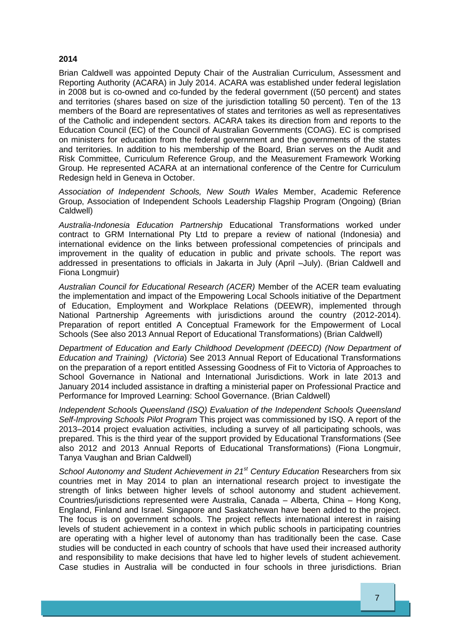### **2014**

Brian Caldwell was appointed Deputy Chair of the Australian Curriculum, Assessment and Reporting Authority (ACARA) in July 2014. ACARA was established under federal legislation in 2008 but is co-owned and co-funded by the federal government ((50 percent) and states and territories (shares based on size of the jurisdiction totalling 50 percent). Ten of the 13 members of the Board are representatives of states and territories as well as representatives of the Catholic and independent sectors. ACARA takes its direction from and reports to the Education Council (EC) of the Council of Australian Governments (COAG). EC is comprised on ministers for education from the federal government and the governments of the states and territories. In addition to his membership of the Board, Brian serves on the Audit and Risk Committee, Curriculum Reference Group, and the Measurement Framework Working Group. He represented ACARA at an international conference of the Centre for Curriculum Redesign held in Geneva in October.

*Association of Independent Schools, New South Wales* Member, Academic Reference Group, Association of Independent Schools Leadership Flagship Program (Ongoing) (Brian Caldwell)

*Australia-Indonesia Education Partnership* Educational Transformations worked under contract to GRM International Pty Ltd to prepare a review of national (Indonesia) and international evidence on the links between professional competencies of principals and improvement in the quality of education in public and private schools. The report was addressed in presentations to officials in Jakarta in July (April –July). (Brian Caldwell and Fiona Longmuir)

*Australian Council for Educational Research (ACER)* Member of the ACER team evaluating the implementation and impact of the Empowering Local Schools initiative of the Department of Education, Employment and Workplace Relations (DEEWR), implemented through National Partnership Agreements with jurisdictions around the country (2012-2014). Preparation of report entitled A Conceptual Framework for the Empowerment of Local Schools (See also 2013 Annual Report of Educational Transformations) (Brian Caldwell)

*Department of Education and Early Childhood Development (DEECD) (Now Department of Education and Training) (Victoria*) See 2013 Annual Report of Educational Transformations on the preparation of a report entitled Assessing Goodness of Fit to Victoria of Approaches to School Governance in National and International Jurisdictions. Work in late 2013 and January 2014 included assistance in drafting a ministerial paper on Professional Practice and Performance for Improved Learning: School Governance. (Brian Caldwell)

*Independent Schools Queensland (ISQ) Evaluation of the Independent Schools Queensland Self-Improving Schools Pilot Program* This project was commissioned by ISQ. A report of the 2013–2014 project evaluation activities, including a survey of all participating schools, was prepared. This is the third year of the support provided by Educational Transformations (See also 2012 and 2013 Annual Reports of Educational Transformations) (Fiona Longmuir, Tanya Vaughan and Brian Caldwell)

*School Autonomy and Student Achievement in 21st Century Education* Researchers from six countries met in May 2014 to plan an international research project to investigate the strength of links between higher levels of school autonomy and student achievement. Countries/jurisdictions represented were Australia, Canada – Alberta, China – Hong Kong, England, Finland and Israel. Singapore and Saskatchewan have been added to the project. The focus is on government schools. The project reflects international interest in raising levels of student achievement in a context in which public schools in participating countries are operating with a higher level of autonomy than has traditionally been the case. Case studies will be conducted in each country of schools that have used their increased authority and responsibility to make decisions that have led to higher levels of student achievement. Case studies in Australia will be conducted in four schools in three jurisdictions. Brian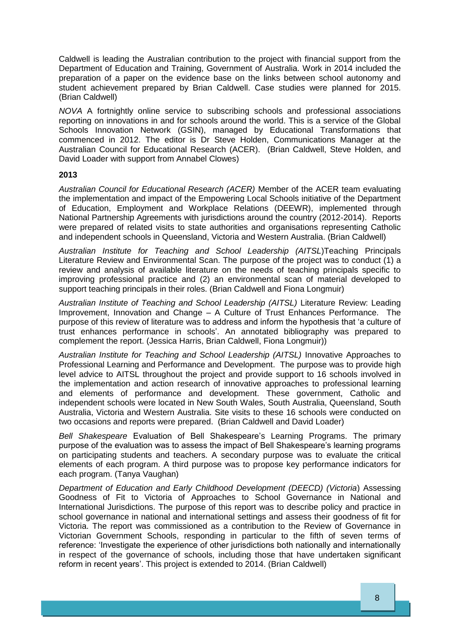Caldwell is leading the Australian contribution to the project with financial support from the Department of Education and Training, Government of Australia. Work in 2014 included the preparation of a paper on the evidence base on the links between school autonomy and student achievement prepared by Brian Caldwell. Case studies were planned for 2015. (Brian Caldwell)

*NOVA* A fortnightly online service to subscribing schools and professional associations reporting on innovations in and for schools around the world. This is a service of the Global Schools Innovation Network (GSIN), managed by Educational Transformations that commenced in 2012. The editor is Dr Steve Holden, Communications Manager at the Australian Council for Educational Research (ACER). (Brian Caldwell, Steve Holden, and David Loader with support from Annabel Clowes)

#### <span id="page-9-0"></span>**2013**

*Australian Council for Educational Research (ACER)* Member of the ACER team evaluating the implementation and impact of the Empowering Local Schools initiative of the Department of Education, Employment and Workplace Relations (DEEWR), implemented through National Partnership Agreements with jurisdictions around the country (2012-2014). Reports were prepared of related visits to state authorities and organisations representing Catholic and independent schools in Queensland, Victoria and Western Australia. (Brian Caldwell)

*Australian Institute for Teaching and School Leadership (AITSL*)Teaching Principals Literature Review and Environmental Scan. The purpose of the project was to conduct (1) a review and analysis of available literature on the needs of teaching principals specific to improving professional practice and (2) an environmental scan of material developed to support teaching principals in their roles. (Brian Caldwell and Fiona Longmuir)

*Australian Institute of Teaching and School Leadership (AITSL)* Literature Review: Leading Improvement, Innovation and Change – A Culture of Trust Enhances Performance. The purpose of this review of literature was to address and inform the hypothesis that 'a culture of trust enhances performance in schools'. An annotated bibliography was prepared to complement the report. (Jessica Harris, Brian Caldwell, Fiona Longmuir))

*Australian Institute for Teaching and School Leadership (AITSL)* Innovative Approaches to Professional Learning and Performance and Development. The purpose was to provide high level advice to AITSL throughout the project and provide support to 16 schools involved in the implementation and action research of innovative approaches to professional learning and elements of performance and development. These government, Catholic and independent schools were located in New South Wales, South Australia, Queensland, South Australia, Victoria and Western Australia. Site visits to these 16 schools were conducted on two occasions and reports were prepared. (Brian Caldwell and David Loader)

*Bell Shakespeare* Evaluation of Bell Shakespeare's Learning Programs. The primary purpose of the evaluation was to assess the impact of Bell Shakespeare's learning programs on participating students and teachers. A secondary purpose was to evaluate the critical elements of each program. A third purpose was to propose key performance indicators for each program. (Tanya Vaughan)

*Department of Education and Early Childhood Development (DEECD) (Victoria*) Assessing Goodness of Fit to Victoria of Approaches to School Governance in National and International Jurisdictions. The purpose of this report was to describe policy and practice in school governance in national and international settings and assess their goodness of fit for Victoria. The report was commissioned as a contribution to the Review of Governance in Victorian Government Schools, responding in particular to the fifth of seven terms of reference: 'Investigate the experience of other jurisdictions both nationally and internationally in respect of the governance of schools, including those that have undertaken significant reform in recent years'. This project is extended to 2014. (Brian Caldwell)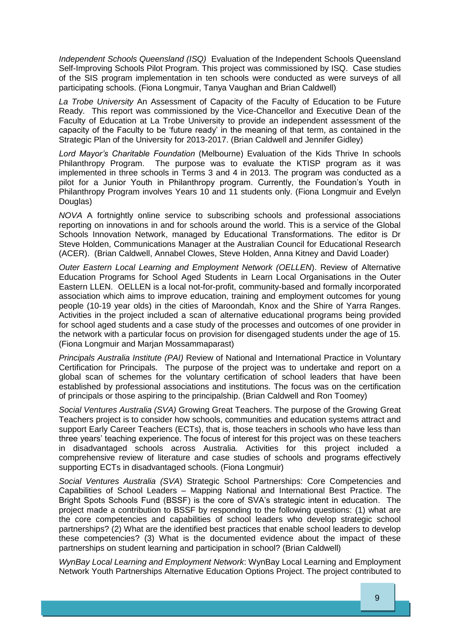*Independent Schools Queensland (ISQ)* Evaluation of the Independent Schools Queensland Self-Improving Schools Pilot Program. This project was commissioned by ISQ. Case studies of the SIS program implementation in ten schools were conducted as were surveys of all participating schools. (Fiona Longmuir, Tanya Vaughan and Brian Caldwell)

*La Trobe University* An Assessment of Capacity of the Faculty of Education to be Future Ready. This report was commissioned by the Vice-Chancellor and Executive Dean of the Faculty of Education at La Trobe University to provide an independent assessment of the capacity of the Faculty to be 'future ready' in the meaning of that term, as contained in the Strategic Plan of the University for 2013-2017. (Brian Caldwell and Jennifer Gidley)

*Lord Mayor's Charitable Foundation* (Melbourne) Evaluation of the Kids Thrive In schools Philanthropy Program. The purpose was to evaluate the KTISP program as it was implemented in three schools in Terms 3 and 4 in 2013. The program was conducted as a pilot for a Junior Youth in Philanthropy program. Currently, the Foundation's Youth in Philanthropy Program involves Years 10 and 11 students only. (Fiona Longmuir and Evelyn Douglas)

*NOVA* A fortnightly online service to subscribing schools and professional associations reporting on innovations in and for schools around the world. This is a service of the Global Schools Innovation Network, managed by Educational Transformations. The editor is Dr Steve Holden, Communications Manager at the Australian Council for Educational Research (ACER). (Brian Caldwell, Annabel Clowes, Steve Holden, Anna Kitney and David Loader)

*Outer Eastern Local Learning and Employment Network (OELLEN*). Review of Alternative Education Programs for School Aged Students in Learn Local Organisations in the Outer Eastern LLEN. OELLEN is a local not-for-profit, community-based and formally incorporated association which aims to improve education, training and employment outcomes for young people (10-19 year olds) in the cities of Maroondah, Knox and the Shire of Yarra Ranges. Activities in the project included a scan of alternative educational programs being provided for school aged students and a case study of the processes and outcomes of one provider in the network with a particular focus on provision for disengaged students under the age of 15. (Fiona Longmuir and Marjan Mossammaparast)

*Principals Australia Institute (PAI)* Review of National and International Practice in Voluntary Certification for Principals. The purpose of the project was to undertake and report on a global scan of schemes for the voluntary certification of school leaders that have been established by professional associations and institutions. The focus was on the certification of principals or those aspiring to the principalship. (Brian Caldwell and Ron Toomey)

*Social Ventures Australia (SVA)* Growing Great Teachers. The purpose of the Growing Great Teachers project is to consider how schools, communities and education systems attract and support Early Career Teachers (ECTs), that is, those teachers in schools who have less than three years' teaching experience. The focus of interest for this project was on these teachers in disadvantaged schools across Australia. Activities for this project included a comprehensive review of literature and case studies of schools and programs effectively supporting ECTs in disadvantaged schools. (Fiona Longmuir)

*Social Ventures Australia (SVA*) Strategic School Partnerships: Core Competencies and Capabilities of School Leaders – Mapping National and International Best Practice. The Bright Spots Schools Fund (BSSF) is the core of SVA's strategic intent in education. The project made a contribution to BSSF by responding to the following questions: (1) what are the core competencies and capabilities of school leaders who develop strategic school partnerships? (2) What are the identified best practices that enable school leaders to develop these competencies? (3) What is the documented evidence about the impact of these partnerships on student learning and participation in school? (Brian Caldwell)

*WynBay Local Learning and Employment Network*: WynBay Local Learning and Employment Network Youth Partnerships Alternative Education Options Project. The project contributed to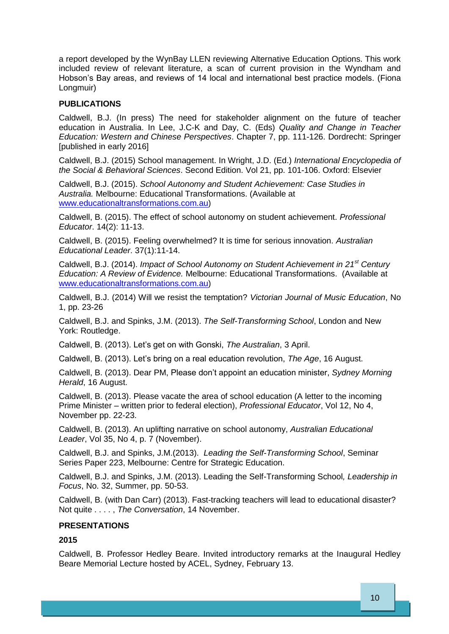a report developed by the WynBay LLEN reviewing Alternative Education Options. This work included review of relevant literature, a scan of current provision in the Wyndham and Hobson's Bay areas, and reviews of 14 local and international best practice models. (Fiona Longmuir)

# <span id="page-11-0"></span>**PUBLICATIONS**

Caldwell, B.J. (In press) The need for stakeholder alignment on the future of teacher education in Australia. In Lee, J.C-K and Day, C. (Eds) *Quality and Change in Teacher Education: Western and Chinese Perspectives*. Chapter 7, pp. 111-126. Dordrecht: Springer [published in early 2016]

Caldwell, B.J. (2015) School management. In Wright, J.D. (Ed.) *International Encyclopedia of the Social & Behavioral Sciences*. Second Edition. Vol 21, pp. 101-106. Oxford: Elsevier

Caldwell, B.J. (2015). *School Autonomy and Student Achievement: Case Studies in Australia.* Melbourne: Educational Transformations. (Available at [www.educationaltransformations.com.au\)](http://www.educationaltransformations.com.au/)

Caldwell, B. (2015). The effect of school autonomy on student achievement. *Professional Educator*. 14(2): 11-13.

Caldwell, B. (2015). Feeling overwhelmed? It is time for serious innovation. *Australian Educational Leader*. 37(1):11-14.

Caldwell, B.J. (2014). *Impact of School Autonomy on Student Achievement in 21st Century Education: A Review of Evidence.* Melbourne: Educational Transformations. (Available at [www.educationaltransformations.com.au\)](http://www.educationaltransformations.com.au/)

Caldwell, B.J. (2014) Will we resist the temptation? *Victorian Journal of Music Education*, No 1, pp. 23-26

Caldwell, B.J. and Spinks, J.M. (2013). *The Self-Transforming School*, London and New York: Routledge.

Caldwell, B. (2013). Let's get on with Gonski, *The Australian*, 3 April.

Caldwell, B. (2013). Let's bring on a real education revolution, *The Age*, 16 August.

Caldwell, B. (2013). Dear PM, Please don't appoint an education minister, *Sydney Morning Herald*, 16 August.

Caldwell, B. (2013). Please vacate the area of school education (A letter to the incoming Prime Minister – written prior to federal election), *Professional Educator*, Vol 12, No 4, November pp. 22-23.

Caldwell, B. (2013). An uplifting narrative on school autonomy, *Australian Educational Leader*, Vol 35, No 4, p. 7 (November).

Caldwell, B.J. and Spinks, J.M.(2013). *Leading the Self-Transforming School*, Seminar Series Paper 223, Melbourne: Centre for Strategic Education.

Caldwell, B.J. and Spinks, J.M. (2013). Leading the Self-Transforming School*, Leadership in Focus*, No. 32, Summer, pp. 50-53.

Caldwell, B. (with Dan Carr) (2013). Fast-tracking teachers will lead to educational disaster? Not quite . . . . , *The Conversation*, 14 November.

#### <span id="page-11-1"></span>**PRESENTATIONS**

# **2015**

Caldwell, B. Professor Hedley Beare. Invited introductory remarks at the Inaugural Hedley Beare Memorial Lecture hosted by ACEL, Sydney, February 13.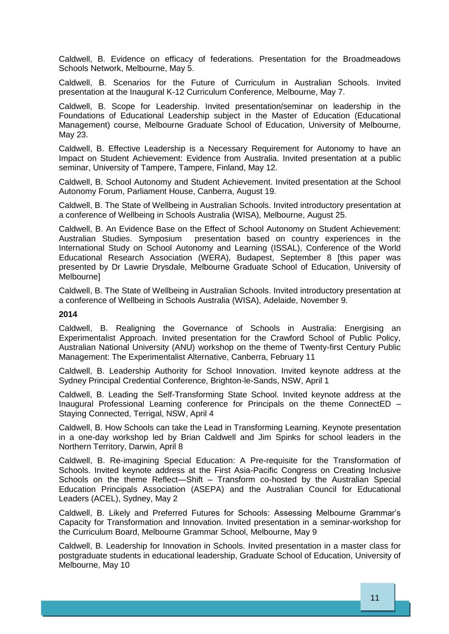Caldwell, B. Evidence on efficacy of federations. Presentation for the Broadmeadows Schools Network, Melbourne, May 5.

Caldwell, B. Scenarios for the Future of Curriculum in Australian Schools. Invited presentation at the Inaugural K-12 Curriculum Conference, Melbourne, May 7.

Caldwell, B. Scope for Leadership. Invited presentation/seminar on leadership in the Foundations of Educational Leadership subject in the Master of Education (Educational Management) course, Melbourne Graduate School of Education, University of Melbourne, May 23.

Caldwell, B. Effective Leadership is a Necessary Requirement for Autonomy to have an Impact on Student Achievement: Evidence from Australia. Invited presentation at a public seminar, University of Tampere, Tampere, Finland, May 12.

Caldwell, B. School Autonomy and Student Achievement. Invited presentation at the School Autonomy Forum, Parliament House, Canberra, August 19.

Caldwell, B. The State of Wellbeing in Australian Schools. Invited introductory presentation at a conference of Wellbeing in Schools Australia (WISA), Melbourne, August 25.

Caldwell, B. An Evidence Base on the Effect of School Autonomy on Student Achievement: Australian Studies. Symposium presentation based on country experiences in the International Study on School Autonomy and Learning (ISSAL), Conference of the World Educational Research Association (WERA), Budapest, September 8 [this paper was presented by Dr Lawrie Drysdale, Melbourne Graduate School of Education, University of **Melbournel** 

Caldwell, B. The State of Wellbeing in Australian Schools. Invited introductory presentation at a conference of Wellbeing in Schools Australia (WISA), Adelaide, November 9.

#### **2014**

Caldwell, B. Realigning the Governance of Schools in Australia: Energising an Experimentalist Approach. Invited presentation for the Crawford School of Public Policy, Australian National University (ANU) workshop on the theme of Twenty-first Century Public Management: The Experimentalist Alternative, Canberra, February 11

Caldwell, B. Leadership Authority for School Innovation. Invited keynote address at the Sydney Principal Credential Conference, Brighton-le-Sands, NSW, April 1

Caldwell, B. Leading the Self-Transforming State School. Invited keynote address at the Inaugural Professional Learning conference for Principals on the theme ConnectED – Staying Connected, Terrigal, NSW, April 4

Caldwell, B. How Schools can take the Lead in Transforming Learning. Keynote presentation in a one-day workshop led by Brian Caldwell and Jim Spinks for school leaders in the Northern Territory, Darwin, April 8

Caldwell, B. Re-imagining Special Education: A Pre-requisite for the Transformation of Schools. Invited keynote address at the First Asia-Pacific Congress on Creating Inclusive Schools on the theme Reflect—Shift – Transform co-hosted by the Australian Special Education Principals Association (ASEPA) and the Australian Council for Educational Leaders (ACEL), Sydney, May 2

Caldwell, B. Likely and Preferred Futures for Schools: Assessing Melbourne Grammar's Capacity for Transformation and Innovation. Invited presentation in a seminar-workshop for the Curriculum Board, Melbourne Grammar School, Melbourne, May 9

Caldwell, B. Leadership for Innovation in Schools. Invited presentation in a master class for postgraduate students in educational leadership, Graduate School of Education, University of Melbourne, May 10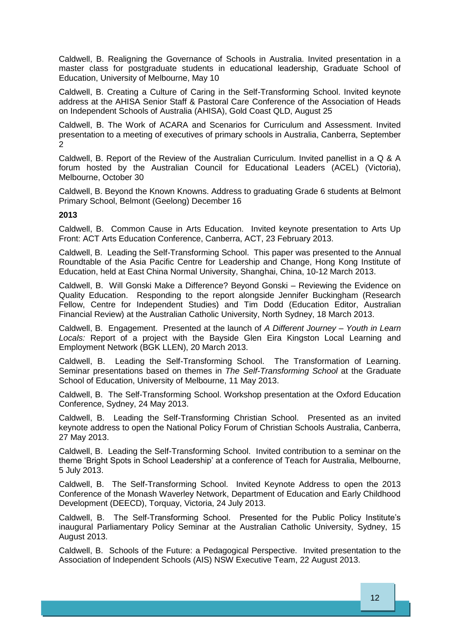Caldwell, B. Realigning the Governance of Schools in Australia. Invited presentation in a master class for postgraduate students in educational leadership, Graduate School of Education, University of Melbourne, May 10

Caldwell, B. Creating a Culture of Caring in the Self-Transforming School. Invited keynote address at the AHISA Senior Staff & Pastoral Care Conference of the Association of Heads on Independent Schools of Australia (AHISA), Gold Coast QLD, August 25

Caldwell, B. The Work of ACARA and Scenarios for Curriculum and Assessment. Invited presentation to a meeting of executives of primary schools in Australia, Canberra, September 2

Caldwell, B. Report of the Review of the Australian Curriculum. Invited panellist in a Q & A forum hosted by the Australian Council for Educational Leaders (ACEL) (Victoria), Melbourne, October 30

Caldwell, B. Beyond the Known Knowns. Address to graduating Grade 6 students at Belmont Primary School, Belmont (Geelong) December 16

#### **2013**

Caldwell, B. Common Cause in Arts Education. Invited keynote presentation to Arts Up Front: ACT Arts Education Conference, Canberra, ACT, 23 February 2013.

Caldwell, B. Leading the Self-Transforming School. This paper was presented to the Annual Roundtable of the Asia Pacific Centre for Leadership and Change, Hong Kong Institute of Education, held at East China Normal University, Shanghai, China, 10-12 March 2013.

Caldwell, B. Will Gonski Make a Difference? Beyond Gonski – Reviewing the Evidence on Quality Education. Responding to the report alongside Jennifer Buckingham (Research Fellow, Centre for Independent Studies) and Tim Dodd (Education Editor, Australian Financial Review) at the Australian Catholic University, North Sydney, 18 March 2013.

Caldwell, B. Engagement. Presented at the launch of *A Different Journey – Youth in Learn Locals:* Report of a project with the Bayside Glen Eira Kingston Local Learning and Employment Network (BGK LLEN), 20 March 2013.

Caldwell, B. Leading the Self-Transforming School. The Transformation of Learning. Seminar presentations based on themes in *The Self-Transforming School* at the Graduate School of Education, University of Melbourne, 11 May 2013.

Caldwell, B. The Self-Transforming School. Workshop presentation at the Oxford Education Conference, Sydney, 24 May 2013.

Caldwell, B. Leading the Self-Transforming Christian School. Presented as an invited keynote address to open the National Policy Forum of Christian Schools Australia, Canberra, 27 May 2013.

Caldwell, B. Leading the Self-Transforming School. Invited contribution to a seminar on the theme 'Bright Spots in School Leadership' at a conference of Teach for Australia, Melbourne, 5 July 2013.

Caldwell, B. The Self-Transforming School. Invited Keynote Address to open the 2013 Conference of the Monash Waverley Network, Department of Education and Early Childhood Development (DEECD), Torquay, Victoria, 24 July 2013.

Caldwell, B. The Self-Transforming School. Presented for the Public Policy Institute's inaugural Parliamentary Policy Seminar at the Australian Catholic University, Sydney, 15 August 2013.

Caldwell, B. Schools of the Future: a Pedagogical Perspective. Invited presentation to the Association of Independent Schools (AIS) NSW Executive Team, 22 August 2013.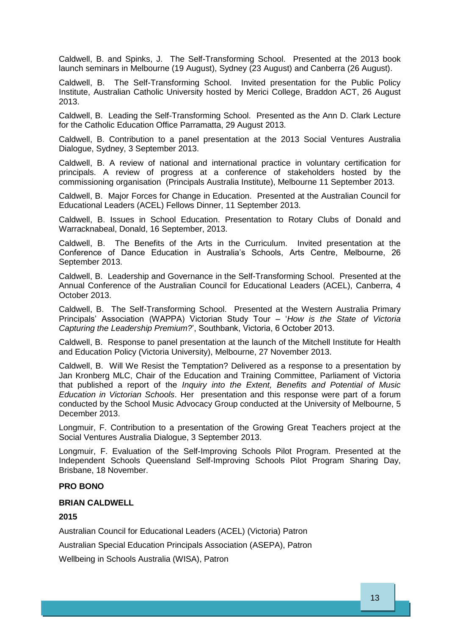Caldwell, B. and Spinks, J. The Self-Transforming School. Presented at the 2013 book launch seminars in Melbourne (19 August), Sydney (23 August) and Canberra (26 August).

Caldwell, B. The Self-Transforming School. Invited presentation for the Public Policy Institute, Australian Catholic University hosted by Merici College, Braddon ACT, 26 August 2013.

Caldwell, B. Leading the Self-Transforming School. Presented as the Ann D. Clark Lecture for the Catholic Education Office Parramatta, 29 August 2013.

Caldwell, B. Contribution to a panel presentation at the 2013 Social Ventures Australia Dialogue, Sydney, 3 September 2013.

Caldwell, B. A review of national and international practice in voluntary certification for principals. A review of progress at a conference of stakeholders hosted by the commissioning organisation (Principals Australia Institute), Melbourne 11 September 2013.

Caldwell, B. Major Forces for Change in Education. Presented at the Australian Council for Educational Leaders (ACEL) Fellows Dinner, 11 September 2013.

Caldwell, B. Issues in School Education. Presentation to Rotary Clubs of Donald and Warracknabeal, Donald, 16 September, 2013.

Caldwell, B. The Benefits of the Arts in the Curriculum. Invited presentation at the Conference of Dance Education in Australia's Schools, Arts Centre, Melbourne, 26 September 2013.

Caldwell, B. Leadership and Governance in the Self-Transforming School. Presented at the Annual Conference of the Australian Council for Educational Leaders (ACEL), Canberra, 4 October 2013.

Caldwell, B. The Self-Transforming School. Presented at the Western Australia Primary Principals' Association (WAPPA) Victorian Study Tour – '*How is the State of Victoria Capturing the Leadership Premium?*', Southbank, Victoria, 6 October 2013.

Caldwell, B. Response to panel presentation at the launch of the Mitchell Institute for Health and Education Policy (Victoria University), Melbourne, 27 November 2013.

Caldwell, B. Will We Resist the Temptation? Delivered as a response to a presentation by Jan Kronberg MLC, Chair of the Education and Training Committee, Parliament of Victoria that published a report of the *Inquiry into the Extent, Benefits and Potential of Music Education in Victorian Schools*. Her presentation and this response were part of a forum conducted by the School Music Advocacy Group conducted at the University of Melbourne, 5 December 2013.

Longmuir, F. Contribution to a presentation of the Growing Great Teachers project at the Social Ventures Australia Dialogue, 3 September 2013.

Longmuir, F. Evaluation of the Self-Improving Schools Pilot Program. Presented at the Independent Schools Queensland Self-Improving Schools Pilot Program Sharing Day, Brisbane, 18 November.

#### <span id="page-14-0"></span>**PRO BONO**

#### <span id="page-14-1"></span>**BRIAN CALDWELL**

#### **2015**

Australian Council for Educational Leaders (ACEL) (Victoria) Patron

Australian Special Education Principals Association (ASEPA), Patron

Wellbeing in Schools Australia (WISA), Patron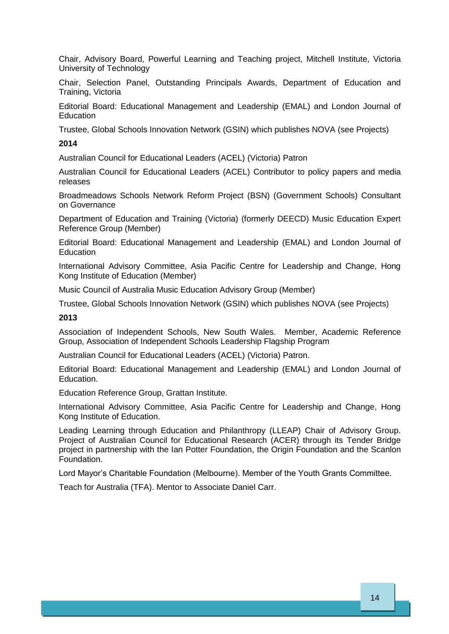Chair, Advisory Board, Powerful Learning and Teaching project, Mitchell Institute, Victoria University of Technology

Chair, Selection Panel, Outstanding Principals Awards, Department of Education and Training, Victoria

Editorial Board: Educational Management and Leadership (EMAL) and London Journal of **Education** 

Trustee, Global Schools Innovation Network (GSIN) which publishes NOVA (see Projects)

# **2014**

Australian Council for Educational Leaders (ACEL) (Victoria) Patron

Australian Council for Educational Leaders (ACEL) Contributor to policy papers and media releases

Broadmeadows Schools Network Reform Project (BSN) (Government Schools) Consultant on Governance

Department of Education and Training (Victoria) (formerly DEECD) Music Education Expert Reference Group (Member)

Editorial Board: Educational Management and Leadership (EMAL) and London Journal of **Education** 

International Advisory Committee, Asia Pacific Centre for Leadership and Change, Hong Kong Institute of Education (Member)

Music Council of Australia Music Education Advisory Group (Member)

Trustee, Global Schools Innovation Network (GSIN) which publishes NOVA (see Projects)

# **2013**

Association of Independent Schools, New South Wales. Member, Academic Reference Group, Association of Independent Schools Leadership Flagship Program

Australian Council for Educational Leaders (ACEL) (Victoria) Patron.

Editorial Board: Educational Management and Leadership (EMAL) and London Journal of Education.

Education Reference Group, Grattan Institute.

International Advisory Committee, Asia Pacific Centre for Leadership and Change, Hong Kong Institute of Education.

Leading Learning through Education and Philanthropy (LLEAP) Chair of Advisory Group. Project of Australian Council for Educational Research (ACER) through its Tender Bridge project in partnership with the Ian Potter Foundation, the Origin Foundation and the Scanlon Foundation.

Lord Mayor's Charitable Foundation (Melbourne). Member of the Youth Grants Committee.

Teach for Australia (TFA). Mentor to Associate Daniel Carr.